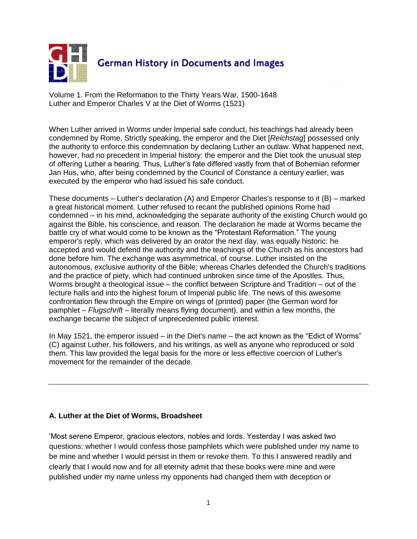

Volume 1. From the Reformation to the Thirty Years War, 1500-1648 Luther and Emperor Charles V at the Diet of Worms (1521)

When Luther arrived in Worms under Imperial safe conduct, his teachings had already been condemned by Rome. Strictly speaking, the emperor and the Diet [*Reichstag*] possessed only the authority to enforce this condemnation by declaring Luther an outlaw. What happened next, however, had no precedent in Imperial history: the emperor and the Diet took the unusual step of offering Luther a hearing. Thus, Luther's fate differed vastly from that of Bohemian reformer Jan Hus, who, after being condemned by the Council of Constance a century earlier, was executed by the emperor who had issued his safe conduct.

These documents – Luther's declaration (A) and Emperor Charles's response to it (B) – marked a great historical moment. Luther refused to recant the published opinions Rome had condemned – in his mind, acknowledging the separate authority of the existing Church would go against the Bible, his conscience, and reason. The declaration he made at Worms became the battle cry of what would come to be known as the "Protestant Reformation." The young emperor's reply, which was delivered by an orator the next day, was equally historic: he accepted and would defend the authority and the teachings of the Church as his ancestors had done before him. The exchange was asymmetrical, of course. Luther insisted on the autonomous, exclusive authority of the Bible; whereas Charles defended the Church's traditions and the practice of piety, which had continued unbroken since time of the Apostles. Thus, Worms brought a theological issue – the conflict between Scripture and Tradition – out of the lecture halls and into the highest forum of Imperial public life. The news of this awesome confrontation flew through the Empire on wings of (printed) paper (the German word for pamphlet – *Flugschrift* – literally means flying document), and within a few months, the exchange became the subject of unprecedented public interest.

In May 1521, the emperor issued – in the Diet's name – the act known as the "Edict of Worms" (C) against Luther, his followers, and his writings, as well as anyone who reproduced or sold them. This law provided the legal basis for the more or less effective coercion of Luther's movement for the remainder of the decade.

## **A. Luther at the Diet of Worms, Broadsheet**

'Most serene Emperor, gracious electors, nobles and lords. Yesterday I was asked two questions: whether I would confess those pamphlets which were published under my name to be mine and whether I would persist in them or revoke them. To this I answered readily and clearly that I would now and for all eternity admit that these books were mine and were published under my name unless my opponents had changed them with deception or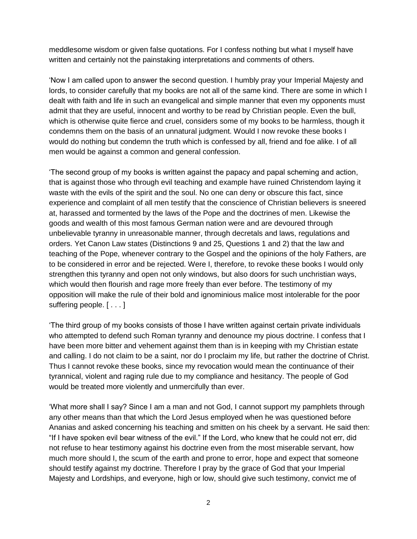meddlesome wisdom or given false quotations. For I confess nothing but what I myself have written and certainly not the painstaking interpretations and comments of others.

'Now I am called upon to answer the second question. I humbly pray your Imperial Majesty and lords, to consider carefully that my books are not all of the same kind. There are some in which I dealt with faith and life in such an evangelical and simple manner that even my opponents must admit that they are useful, innocent and worthy to be read by Christian people. Even the bull, which is otherwise quite fierce and cruel, considers some of my books to be harmless, though it condemns them on the basis of an unnatural judgment. Would I now revoke these books I would do nothing but condemn the truth which is confessed by all, friend and foe alike. I of all men would be against a common and general confession.

'The second group of my books is written against the papacy and papal scheming and action, that is against those who through evil teaching and example have ruined Christendom laying it waste with the evils of the spirit and the soul. No one can deny or obscure this fact, since experience and complaint of all men testify that the conscience of Christian believers is sneered at, harassed and tormented by the laws of the Pope and the doctrines of men. Likewise the goods and wealth of this most famous German nation were and are devoured through unbelievable tyranny in unreasonable manner, through decretals and laws, regulations and orders. Yet Canon Law states (Distinctions 9 and 25, Questions 1 and 2) that the law and teaching of the Pope, whenever contrary to the Gospel and the opinions of the holy Fathers, are to be considered in error and be rejected. Were I, therefore, to revoke these books I would only strengthen this tyranny and open not only windows, but also doors for such unchristian ways, which would then flourish and rage more freely than ever before. The testimony of my opposition will make the rule of their bold and ignominious malice most intolerable for the poor suffering people. [...]

'The third group of my books consists of those I have written against certain private individuals who attempted to defend such Roman tyranny and denounce my pious doctrine. I confess that I have been more bitter and vehement against them than is in keeping with my Christian estate and calling. I do not claim to be a saint, nor do I proclaim my life, but rather the doctrine of Christ. Thus I cannot revoke these books, since my revocation would mean the continuance of their tyrannical, violent and raging rule due to my compliance and hesitancy. The people of God would be treated more violently and unmercifully than ever.

'What more shall I say? Since I am a man and not God, I cannot support my pamphlets through any other means than that which the Lord Jesus employed when he was questioned before Ananias and asked concerning his teaching and smitten on his cheek by a servant. He said then: "If I have spoken evil bear witness of the evil." If the Lord, who knew that he could not err, did not refuse to hear testimony against his doctrine even from the most miserable servant, how much more should I, the scum of the earth and prone to error, hope and expect that someone should testify against my doctrine. Therefore I pray by the grace of God that your Imperial Majesty and Lordships, and everyone, high or low, should give such testimony, convict me of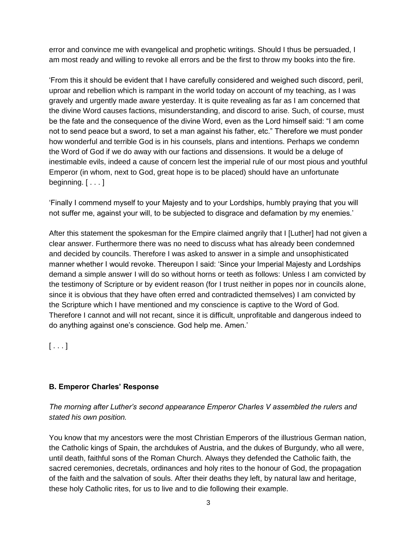error and convince me with evangelical and prophetic writings. Should I thus be persuaded, I am most ready and willing to revoke all errors and be the first to throw my books into the fire.

'From this it should be evident that I have carefully considered and weighed such discord, peril, uproar and rebellion which is rampant in the world today on account of my teaching, as I was gravely and urgently made aware yesterday. It is quite revealing as far as I am concerned that the divine Word causes factions, misunderstanding, and discord to arise. Such, of course, must be the fate and the consequence of the divine Word, even as the Lord himself said: "I am come not to send peace but a sword, to set a man against his father, etc." Therefore we must ponder how wonderful and terrible God is in his counsels, plans and intentions. Perhaps we condemn the Word of God if we do away with our factions and dissensions. It would be a deluge of inestimable evils, indeed a cause of concern lest the imperial rule of our most pious and youthful Emperor (in whom, next to God, great hope is to be placed) should have an unfortunate beginning. [ . . . ]

'Finally I commend myself to your Majesty and to your Lordships, humbly praying that you will not suffer me, against your will, to be subjected to disgrace and defamation by my enemies.'

After this statement the spokesman for the Empire claimed angrily that I [Luther] had not given a clear answer. Furthermore there was no need to discuss what has already been condemned and decided by councils. Therefore I was asked to answer in a simple and unsophisticated manner whether I would revoke. Thereupon I said: 'Since your Imperial Majesty and Lordships demand a simple answer I will do so without horns or teeth as follows: Unless I am convicted by the testimony of Scripture or by evident reason (for I trust neither in popes nor in councils alone, since it is obvious that they have often erred and contradicted themselves) I am convicted by the Scripture which I have mentioned and my conscience is captive to the Word of God. Therefore I cannot and will not recant, since it is difficult, unprofitable and dangerous indeed to do anything against one's conscience. God help me. Amen.'

 $[...]$ 

## **B. Emperor Charles' Response**

*The morning after Luther's second appearance Emperor Charles V assembled the rulers and stated his own position.*

You know that my ancestors were the most Christian Emperors of the illustrious German nation, the Catholic kings of Spain, the archdukes of Austria, and the dukes of Burgundy, who all were, until death, faithful sons of the Roman Church. Always they defended the Catholic faith, the sacred ceremonies, decretals, ordinances and holy rites to the honour of God, the propagation of the faith and the salvation of souls. After their deaths they left, by natural law and heritage, these holy Catholic rites, for us to live and to die following their example.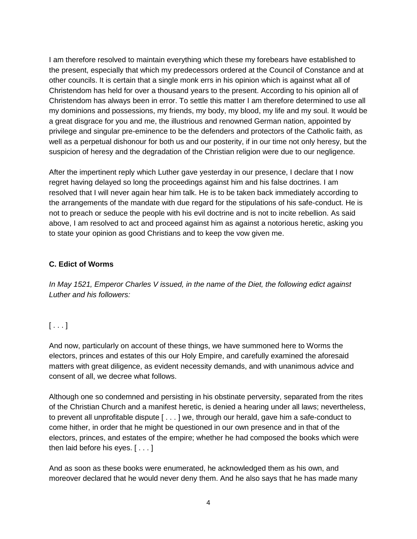I am therefore resolved to maintain everything which these my forebears have established to the present, especially that which my predecessors ordered at the Council of Constance and at other councils. It is certain that a single monk errs in his opinion which is against what all of Christendom has held for over a thousand years to the present. According to his opinion all of Christendom has always been in error. To settle this matter I am therefore determined to use all my dominions and possessions, my friends, my body, my blood, my life and my soul. It would be a great disgrace for you and me, the illustrious and renowned German nation, appointed by privilege and singular pre-eminence to be the defenders and protectors of the Catholic faith, as well as a perpetual dishonour for both us and our posterity, if in our time not only heresy, but the suspicion of heresy and the degradation of the Christian religion were due to our negligence.

After the impertinent reply which Luther gave yesterday in our presence, I declare that I now regret having delayed so long the proceedings against him and his false doctrines. I am resolved that I will never again hear him talk. He is to be taken back immediately according to the arrangements of the mandate with due regard for the stipulations of his safe-conduct. He is not to preach or seduce the people with his evil doctrine and is not to incite rebellion. As said above, I am resolved to act and proceed against him as against a notorious heretic, asking you to state your opinion as good Christians and to keep the vow given me.

## **C. Edict of Worms**

*In May 1521, Emperor Charles V issued, in the name of the Diet, the following edict against Luther and his followers:*

## $[...]$

And now, particularly on account of these things, we have summoned here to Worms the electors, princes and estates of this our Holy Empire, and carefully examined the aforesaid matters with great diligence, as evident necessity demands, and with unanimous advice and consent of all, we decree what follows.

Although one so condemned and persisting in his obstinate perversity, separated from the rites of the Christian Church and a manifest heretic, is denied a hearing under all laws; nevertheless, to prevent all unprofitable dispute [ . . . ] we, through our herald, gave him a safe-conduct to come hither, in order that he might be questioned in our own presence and in that of the electors, princes, and estates of the empire; whether he had composed the books which were then laid before his eyes. [ . . . ]

And as soon as these books were enumerated, he acknowledged them as his own, and moreover declared that he would never deny them. And he also says that he has made many